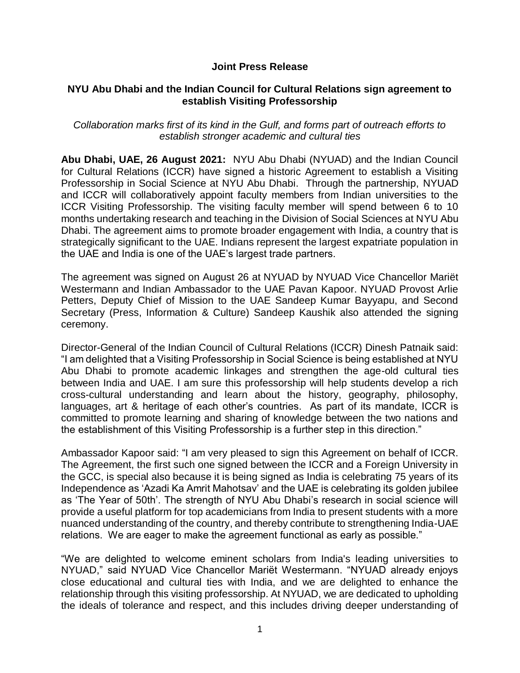## **Joint Press Release**

#### **NYU Abu Dhabi and the Indian Council for Cultural Relations sign agreement to establish Visiting Professorship**

*Collaboration marks first of its kind in the Gulf, and forms part of outreach efforts to establish stronger academic and cultural ties*

**Abu Dhabi, UAE, 26 August 2021:** NYU Abu Dhabi (NYUAD) and the Indian Council for Cultural Relations (ICCR) have signed a historic Agreement to establish a Visiting Professorship in Social Science at NYU Abu Dhabi. Through the partnership, NYUAD and ICCR will collaboratively appoint faculty members from Indian universities to the ICCR Visiting Professorship. The visiting faculty member will spend between 6 to 10 months undertaking research and teaching in the Division of Social Sciences at NYU Abu Dhabi. The agreement aims to promote broader engagement with India, a country that is strategically significant to the UAE. Indians represent the largest expatriate population in the UAE and India is one of the UAE's largest trade partners.

The agreement was signed on August 26 at NYUAD by NYUAD Vice Chancellor Mariët Westermann and Indian Ambassador to the UAE Pavan Kapoor. NYUAD Provost Arlie Petters, Deputy Chief of Mission to the UAE Sandeep Kumar Bayyapu, and Second Secretary (Press, Information & Culture) Sandeep Kaushik also attended the signing ceremony.

Director-General of the Indian Council of Cultural Relations (ICCR) Dinesh Patnaik said: "I am delighted that a Visiting Professorship in Social Science is being established at NYU Abu Dhabi to promote academic linkages and strengthen the age-old cultural ties between India and UAE. I am sure this professorship will help students develop a rich cross-cultural understanding and learn about the history, geography, philosophy, languages, art & heritage of each other's countries. As part of its mandate, ICCR is committed to promote learning and sharing of knowledge between the two nations and the establishment of this Visiting Professorship is a further step in this direction."

Ambassador Kapoor said: "I am very pleased to sign this Agreement on behalf of ICCR. The Agreement, the first such one signed between the ICCR and a Foreign University in the GCC, is special also because it is being signed as India is celebrating 75 years of its Independence as 'Azadi Ka Amrit Mahotsav' and the UAE is celebrating its golden jubilee as 'The Year of 50th'. The strength of NYU Abu Dhabi's research in social science will provide a useful platform for top academicians from India to present students with a more nuanced understanding of the country, and thereby contribute to strengthening India-UAE relations. We are eager to make the agreement functional as early as possible."

"We are delighted to welcome eminent scholars from India's leading universities to NYUAD," said NYUAD Vice Chancellor Mariët Westermann. "NYUAD already enjoys close educational and cultural ties with India, and we are delighted to enhance the relationship through this visiting professorship. At NYUAD, we are dedicated to upholding the ideals of tolerance and respect, and this includes driving deeper understanding of